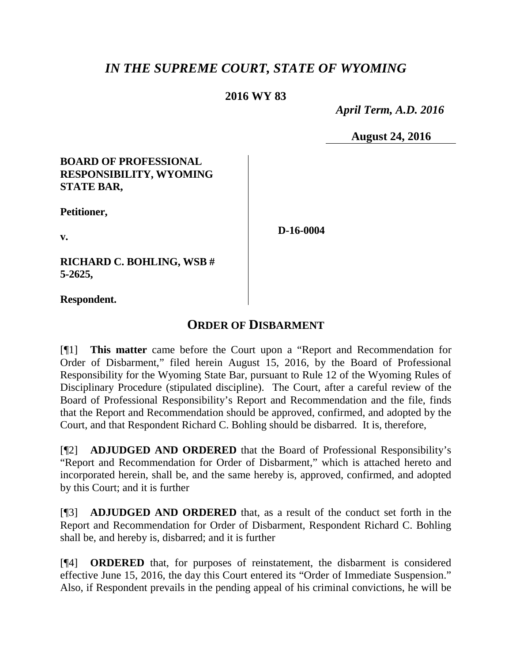# *IN THE SUPREME COURT, STATE OF WYOMING*

## **2016 WY 83**

 *April Term, A.D. 2016*

**August 24, 2016**

### **BOARD OF PROFESSIONAL RESPONSIBILITY, WYOMING STATE BAR,**

**Petitioner,**

**v.**

**D-16-0004**

**RICHARD C. BOHLING, WSB # 5-2625,**

**Respondent.**

## **ORDER OF DISBARMENT**

[¶1] **This matter** came before the Court upon a "Report and Recommendation for Order of Disbarment," filed herein August 15, 2016, by the Board of Professional Responsibility for the Wyoming State Bar, pursuant to Rule 12 of the Wyoming Rules of Disciplinary Procedure (stipulated discipline). The Court, after a careful review of the Board of Professional Responsibility's Report and Recommendation and the file, finds that the Report and Recommendation should be approved, confirmed, and adopted by the Court, and that Respondent Richard C. Bohling should be disbarred. It is, therefore,

[¶2] **ADJUDGED AND ORDERED** that the Board of Professional Responsibility's "Report and Recommendation for Order of Disbarment," which is attached hereto and incorporated herein, shall be, and the same hereby is, approved, confirmed, and adopted by this Court; and it is further

[¶3] **ADJUDGED AND ORDERED** that, as a result of the conduct set forth in the Report and Recommendation for Order of Disbarment, Respondent Richard C. Bohling shall be, and hereby is, disbarred; and it is further

[¶4] **ORDERED** that, for purposes of reinstatement, the disbarment is considered effective June 15, 2016, the day this Court entered its "Order of Immediate Suspension." Also, if Respondent prevails in the pending appeal of his criminal convictions, he will be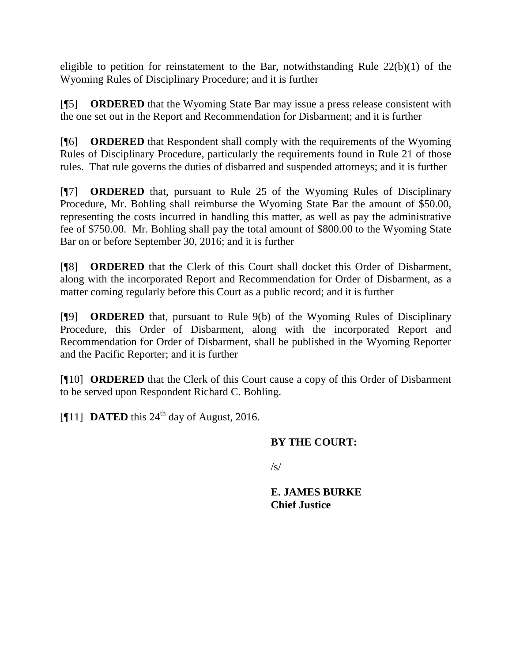eligible to petition for reinstatement to the Bar, notwithstanding Rule 22(b)(1) of the Wyoming Rules of Disciplinary Procedure; and it is further

[¶5] **ORDERED** that the Wyoming State Bar may issue a press release consistent with the one set out in the Report and Recommendation for Disbarment; and it is further

[¶6] **ORDERED** that Respondent shall comply with the requirements of the Wyoming Rules of Disciplinary Procedure, particularly the requirements found in Rule 21 of those rules. That rule governs the duties of disbarred and suspended attorneys; and it is further

[¶7] **ORDERED** that, pursuant to Rule 25 of the Wyoming Rules of Disciplinary Procedure, Mr. Bohling shall reimburse the Wyoming State Bar the amount of \$50.00, representing the costs incurred in handling this matter, as well as pay the administrative fee of \$750.00. Mr. Bohling shall pay the total amount of \$800.00 to the Wyoming State Bar on or before September 30, 2016; and it is further

[¶8] **ORDERED** that the Clerk of this Court shall docket this Order of Disbarment, along with the incorporated Report and Recommendation for Order of Disbarment, as a matter coming regularly before this Court as a public record; and it is further

[¶9] **ORDERED** that, pursuant to Rule 9(b) of the Wyoming Rules of Disciplinary Procedure, this Order of Disbarment, along with the incorporated Report and Recommendation for Order of Disbarment, shall be published in the Wyoming Reporter and the Pacific Reporter; and it is further

[¶10] **ORDERED** that the Clerk of this Court cause a copy of this Order of Disbarment to be served upon Respondent Richard C. Bohling.

[ $[$ [11] **DATED** this 24<sup>th</sup> day of August, 2016.

## **BY THE COURT:**

 $\sqrt{s}$ 

**E. JAMES BURKE Chief Justice**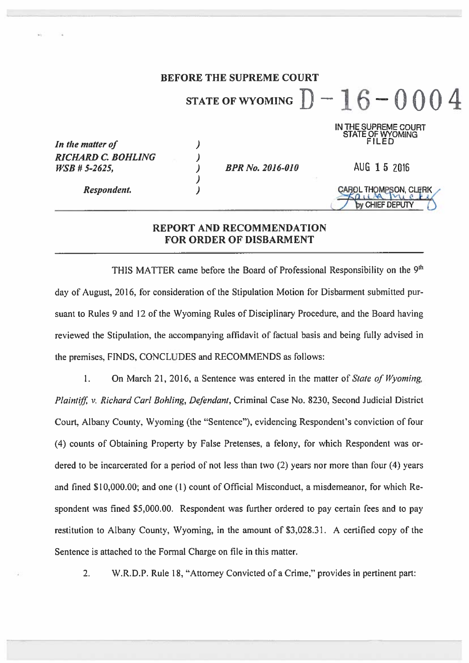#### **BEFORE THE SUPREME COURT** STATE OF WYOMING  $D-16-0004$ IN THE SUPREME COURT STATE OF WYOMING FILED In the matter of  $\overline{\phantom{a}}$  $\overline{\phantom{a}}$ **RICHARD C. BOHLING** AUG 1 5 2016  $\lambda$ **BPR No. 2016-010** WSB # 5-2625.  $\lambda$ Respondent. ÇAROL THOMPSON, CLERK by CHIEF DEPUTY

### REPORT AND RECOMMENDATION **FOR ORDER OF DISBARMENT**

THIS MATTER came before the Board of Professional Responsibility on the 9<sup>th</sup> day of August, 2016, for consideration of the Stipulation Motion for Disbarment submitted pursuant to Rules 9 and 12 of the Wyoming Rules of Disciplinary Procedure, and the Board having reviewed the Stipulation, the accompanying affidavit of factual basis and being fully advised in the premises, FINDS, CONCLUDES and RECOMMENDS as follows:

 $1.$ On March 21, 2016, a Sentence was entered in the matter of State of Wyoming, Plaintiff, v. Richard Carl Bohling, Defendant, Criminal Case No. 8230, Second Judicial District Court, Albany County, Wyoming (the "Sentence"), evidencing Respondent's conviction of four (4) counts of Obtaining Property by False Pretenses, a felony, for which Respondent was ordered to be incarcerated for a period of not less than two (2) years nor more than four (4) years and fined \$10,000.00; and one (1) count of Official Misconduct, a misdemeanor, for which Respondent was fined \$5,000.00. Respondent was further ordered to pay certain fees and to pay restitution to Albany County, Wyoming, in the amount of \$3,028.31. A certified copy of the Sentence is attached to the Formal Charge on file in this matter.

 $2.$ W.R.D.P. Rule 18, "Attorney Convicted of a Crime," provides in pertinent part: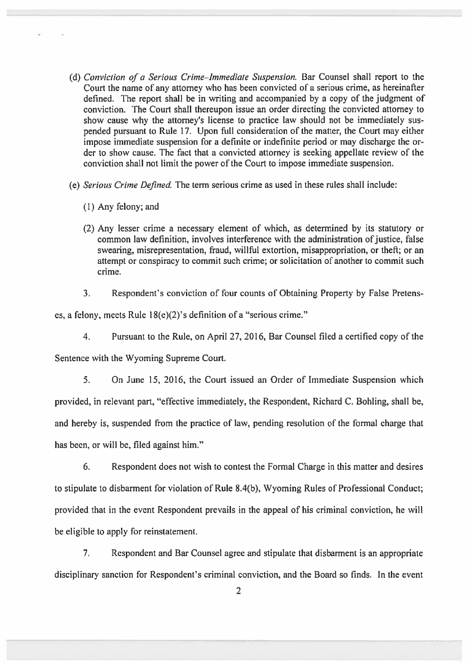- (d) Conviction of a Serious Crime-Immediate Suspension. Bar Counsel shall report to the Court the name of any attorney who has been convicted of a serious crime, as hereinafter defined. The report shall be in writing and accompanied by a copy of the judgment of conviction. The Court shall thereupon issue an order directing the convicted attorney to show cause why the attorney's license to practice law should not be immediately suspended pursuant to Rule 17. Upon full consideration of the matter, the Court may either impose immediate suspension for a definite or indefinite period or may discharge the order to show cause. The fact that a convicted attorney is seeking appellate review of the conviction shall not limit the power of the Court to impose immediate suspension.
- (e) Serious Crime Defined. The term serious crime as used in these rules shall include:
	- (1) Any felony; and
	- (2) Any lesser crime a necessary element of which, as determined by its statutory or common law definition, involves interference with the administration of justice, false swearing, misrepresentation, fraud, willful extortion, misappropriation, or theft: or an attempt or conspiracy to commit such crime; or solicitation of another to commit such crime.
	- Respondent's conviction of four counts of Obtaining Property by False Pretens- $3<sub>1</sub>$

es, a felony, meets Rule 18(e)(2)'s definition of a "serious crime."

 $\overline{4}$ . Pursuant to the Rule, on April 27, 2016, Bar Counsel filed a certified copy of the

Sentence with the Wyoming Supreme Court.

 $5<sub>1</sub>$ On June 15, 2016, the Court issued an Order of Immediate Suspension which provided, in relevant part, "effective immediately, the Respondent, Richard C. Bohling, shall be, and hereby is, suspended from the practice of law, pending resolution of the formal charge that has been, or will be, filed against him."

6. Respondent does not wish to contest the Formal Charge in this matter and desires to stipulate to disbarment for violation of Rule 8.4(b), Wyoming Rules of Professional Conduct; provided that in the event Respondent prevails in the appeal of his criminal conviction, he will be eligible to apply for reinstatement.

 $7<sub>1</sub>$ Respondent and Bar Counsel agree and stipulate that disbarment is an appropriate disciplinary sanction for Respondent's criminal conviction, and the Board so finds. In the event